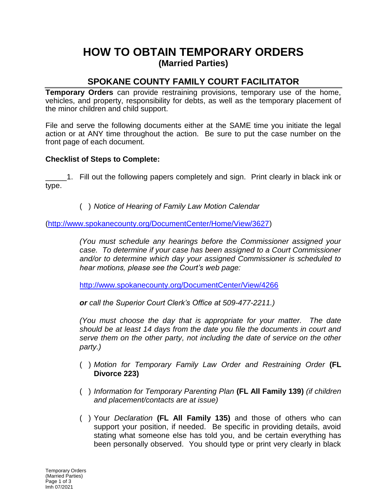## **HOW TO OBTAIN TEMPORARY ORDERS (Married Parties)**

## **SPOKANE COUNTY FAMILY COURT FACILITATOR**

**Temporary Orders** can provide restraining provisions, temporary use of the home, vehicles, and property, responsibility for debts, as well as the temporary placement of the minor children and child support.

File and serve the following documents either at the SAME time you initiate the legal action or at ANY time throughout the action. Be sure to put the case number on the front page of each document.

## **Checklist of Steps to Complete:**

\_\_\_\_\_1. Fill out the following papers completely and sign. Print clearly in black ink or type.

( ) *Notice of Hearing of Family Law Motion Calendar*

[\(http://www.spokanecounty.org/DocumentCenter/Home/View/3627\)](http://www.spokanecounty.org/DocumentCenter/Home/View/3627)

*(You must schedule any hearings before the Commissioner assigned your case. To determine if your case has been assigned to a Court Commissioner and/or to determine which day your assigned Commissioner is scheduled to hear motions, please see the Court's web page:* 

<http://www.spokanecounty.org/DocumentCenter/View/4266>

*or call the Superior Court Clerk's Office at 509-477-2211.)*

*(You must choose the day that is appropriate for your matter. The date should be at least 14 days from the date you file the documents in court and serve them on the other party, not including the date of service on the other party.)*

- ( ) *Motion for Temporary Family Law Order and Restraining Order* **(FL Divorce 223)**
- ( ) *Information for Temporary Parenting Plan* **(FL All Family 139)** *(if children and placement/contacts are at issue)*
- ( ) Your *Declaration* **(FL All Family 135)** and those of others who can support your position, if needed. Be specific in providing details, avoid stating what someone else has told you, and be certain everything has been personally observed. You should type or print very clearly in black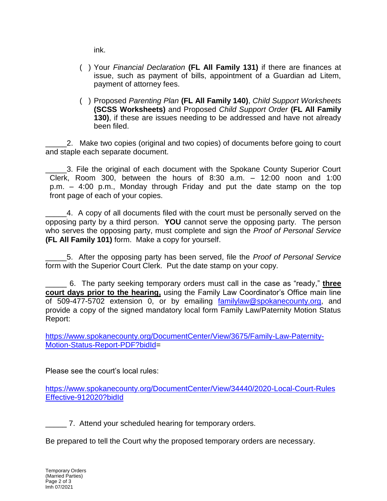ink.

- ( ) Your *Financial Declaration* **(FL All Family 131)** if there are finances at issue, such as payment of bills, appointment of a Guardian ad Litem, payment of attorney fees.
- ( ) Proposed *Parenting Plan* **(FL All Family 140)**, *Child Support Worksheets* **(SCSS Worksheets)** and Proposed *Child Support Order* **(FL All Family 130)**, if these are issues needing to be addressed and have not already been filed.

\_\_\_\_\_2. Make two copies (original and two copies) of documents before going to court and staple each separate document.

\_\_\_\_\_3. File the original of each document with the Spokane County Superior Court Clerk, Room 300, between the hours of 8:30 a.m. – 12:00 noon and 1:00 p.m. – 4:00 p.m., Monday through Friday and put the date stamp on the top front page of each of your copies.

\_\_\_\_\_4. A copy of all documents filed with the court must be personally served on the opposing party by a third person. **YOU** cannot serve the opposing party. The person who serves the opposing party, must complete and sign the *Proof of Personal Service* **(FL All Family 101)** form. Make a copy for yourself.

\_\_\_\_\_5. After the opposing party has been served, file the *Proof of Personal Service* form with the Superior Court Clerk. Put the date stamp on your copy.

\_\_\_\_\_ 6. The party seeking temporary orders must call in the case as "ready," **three court days prior to the hearing,** using the Family Law Coordinator's Office main line of 509-477-5702 extension 0, or by emailing [familylaw@spokanecounty.org,](mailto:familylaw@spokanecounty.org) and provide a copy of the signed mandatory local form Family Law/Paternity Motion Status Report:

[https://www.spokanecounty.org/DocumentCenter/View/3675/Family-Law-Paternity-](https://www.spokanecounty.org/DocumentCenter/View/3675/Family-Law-Paternity-Motion-Status-Report-PDF?bidId)[Motion-Status-Report-PDF?bidId=](https://www.spokanecounty.org/DocumentCenter/View/3675/Family-Law-Paternity-Motion-Status-Report-PDF?bidId)

Please see the court's local rules:

[https://www.spokanecounty.org/DocumentCenter/View/34440/2020-Local-Court-Rules](https://www.spokanecounty.org/DocumentCenter/View/34440/2020-Local-Court-RulesEffective-912020?bidId) [Effective-912020?bidId](https://www.spokanecounty.org/DocumentCenter/View/34440/2020-Local-Court-RulesEffective-912020?bidId)

\_\_\_\_\_ 7. Attend your scheduled hearing for temporary orders.

Be prepared to tell the Court why the proposed temporary orders are necessary.